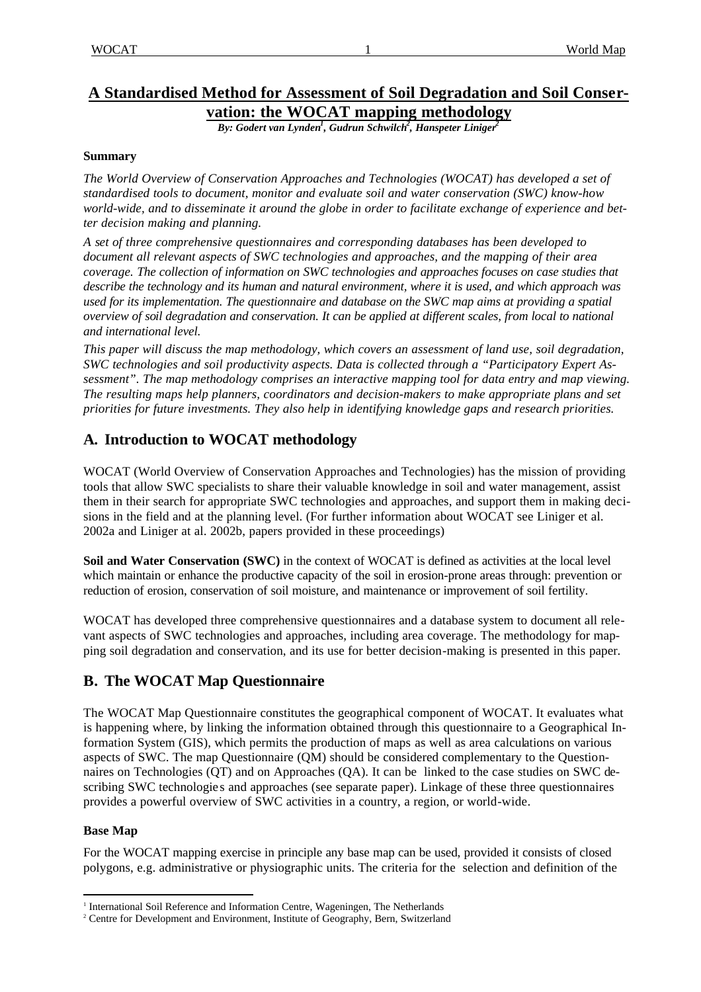# **A Standardised Method for Assessment of Soil Degradation and Soil Conservation: the WOCAT mapping methodology**

*By: Godert van Lynden<sup>1</sup> , Gudrun Schwilch<sup>2</sup> , Hanspeter Liniger<sup>2</sup>*

### **Summary**

*The World Overview of Conservation Approaches and Technologies (WOCAT) has developed a set of standardised tools to document, monitor and evaluate soil and water conservation (SWC) know-how world-wide, and to disseminate it around the globe in order to facilitate exchange of experience and better decision making and planning.* 

*A set of three comprehensive questionnaires and corresponding databases has been developed to document all relevant aspects of SWC technologies and approaches, and the mapping of their area coverage. The collection of information on SWC technologies and approaches focuses on case studies that describe the technology and its human and natural environment, where it is used, and which approach was used for its implementation. The questionnaire and database on the SWC map aims at providing a spatial overview of soil degradation and conservation. It can be applied at different scales, from local to national and international level.*

*This paper will discuss the map methodology, which covers an assessment of land use, soil degradation, SWC technologies and soil productivity aspects. Data is collected through a "Participatory Expert Assessment". The map methodology comprises an interactive mapping tool for data entry and map viewing. The resulting maps help planners, coordinators and decision-makers to make appropriate plans and set priorities for future investments. They also help in identifying knowledge gaps and research priorities.*

# **A. Introduction to WOCAT methodology**

WOCAT (World Overview of Conservation Approaches and Technologies) has the mission of providing tools that allow SWC specialists to share their valuable knowledge in soil and water management, assist them in their search for appropriate SWC technologies and approaches, and support them in making decisions in the field and at the planning level. (For further information about WOCAT see Liniger et al. 2002a and Liniger at al. 2002b, papers provided in these proceedings)

**Soil and Water Conservation (SWC)** in the context of WOCAT is defined as activities at the local level which maintain or enhance the productive capacity of the soil in erosion-prone areas through: prevention or reduction of erosion, conservation of soil moisture, and maintenance or improvement of soil fertility.

WOCAT has developed three comprehensive questionnaires and a database system to document all relevant aspects of SWC technologies and approaches, including area coverage. The methodology for mapping soil degradation and conservation, and its use for better decision-making is presented in this paper.

# **B. The WOCAT Map Questionnaire**

The WOCAT Map Questionnaire constitutes the geographical component of WOCAT. It evaluates what is happening where, by linking the information obtained through this questionnaire to a Geographical Information System (GIS), which permits the production of maps as well as area calculations on various aspects of SWC. The map Questionnaire (QM) should be considered complementary to the Questionnaires on Technologies (QT) and on Approaches (QA). It can be linked to the case studies on SWC describing SWC technologie s and approaches (see separate paper). Linkage of these three questionnaires provides a powerful overview of SWC activities in a country, a region, or world-wide.

# **Base Map**

For the WOCAT mapping exercise in principle any base map can be used, provided it consists of closed polygons, e.g. administrative or physiographic units. The criteria for the selection and definition of the

 <sup>1</sup> International Soil Reference and Information Centre, Wageningen, The Netherlands

<sup>&</sup>lt;sup>2</sup> Centre for Development and Environment, Institute of Geography, Bern, Switzerland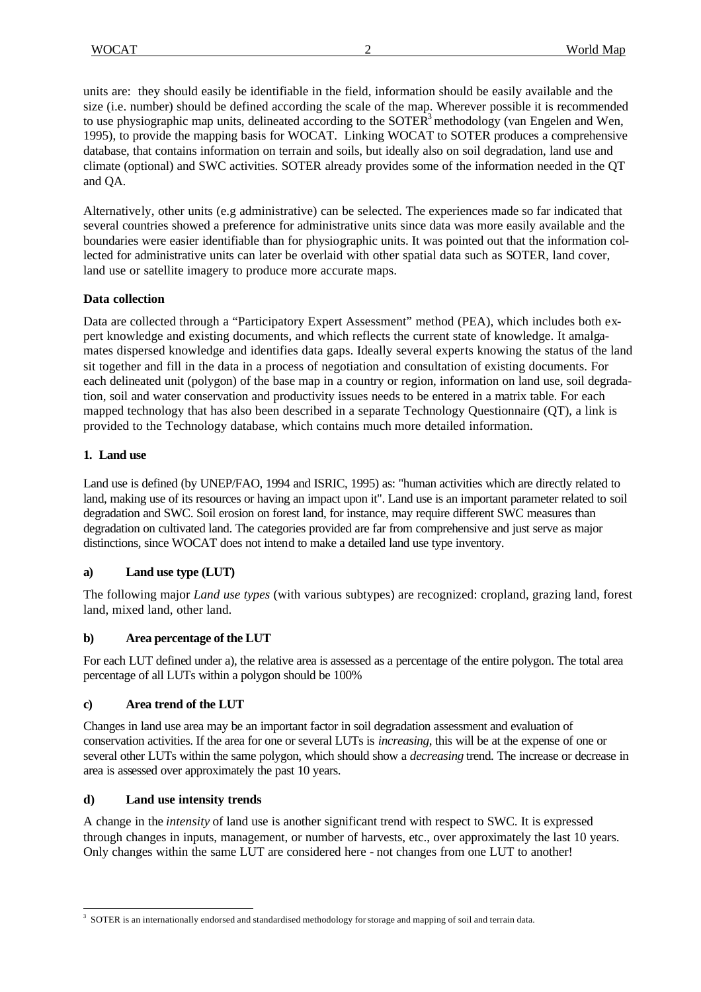units are: they should easily be identifiable in the field, information should be easily available and the size (i.e. number) should be defined according the scale of the map. Wherever possible it is recommended to use physiographic map units, delineated according to the SOTER<sup>3</sup> methodology (van Engelen and Wen, 1995), to provide the mapping basis for WOCAT. Linking WOCAT to SOTER produces a comprehensive database, that contains information on terrain and soils, but ideally also on soil degradation, land use and climate (optional) and SWC activities. SOTER already provides some of the information needed in the QT and QA.

Alternatively, other units (e.g administrative) can be selected. The experiences made so far indicated that several countries showed a preference for administrative units since data was more easily available and the boundaries were easier identifiable than for physiographic units. It was pointed out that the information collected for administrative units can later be overlaid with other spatial data such as SOTER, land cover, land use or satellite imagery to produce more accurate maps.

# **Data collection**

Data are collected through a "Participatory Expert Assessment" method (PEA), which includes both expert knowledge and existing documents, and which reflects the current state of knowledge. It amalgamates dispersed knowledge and identifies data gaps. Ideally several experts knowing the status of the land sit together and fill in the data in a process of negotiation and consultation of existing documents. For each delineated unit (polygon) of the base map in a country or region, information on land use, soil degradation, soil and water conservation and productivity issues needs to be entered in a matrix table. For each mapped technology that has also been described in a separate Technology Questionnaire (QT), a link is provided to the Technology database, which contains much more detailed information.

# **1. Land use**

Land use is defined (by UNEP/FAO, 1994 and ISRIC, 1995) as: "human activities which are directly related to land, making use of its resources or having an impact upon it". Land use is an important parameter related to soil degradation and SWC. Soil erosion on forest land, for instance, may require different SWC measures than degradation on cultivated land. The categories provided are far from comprehensive and just serve as major distinctions, since WOCAT does not intend to make a detailed land use type inventory.

# **a) Land use type (LUT)**

The following major *Land use types* (with various subtypes) are recognized: cropland, grazing land, forest land, mixed land, other land.

# **b) Area percentage of the LUT**

For each LUT defined under a), the relative area is assessed as a percentage of the entire polygon. The total area percentage of all LUTs within a polygon should be 100%

# **c) Area trend of the LUT**

Changes in land use area may be an important factor in soil degradation assessment and evaluation of conservation activities. If the area for one or several LUTs is *increasing*, this will be at the expense of one or several other LUTs within the same polygon, which should show a *decreasing* trend. The increase or decrease in area is assessed over approximately the past 10 years.

#### **d) Land use intensity trends**

 $\overline{a}$ 

A change in the *intensity* of land use is another significant trend with respect to SWC. It is expressed through changes in inputs, management, or number of harvests, etc., over approximately the last 10 years. Only changes within the same LUT are considered here - not changes from one LUT to another!

<sup>&</sup>lt;sup>3</sup> SOTER is an internationally endorsed and standardised methodology for storage and mapping of soil and terrain data.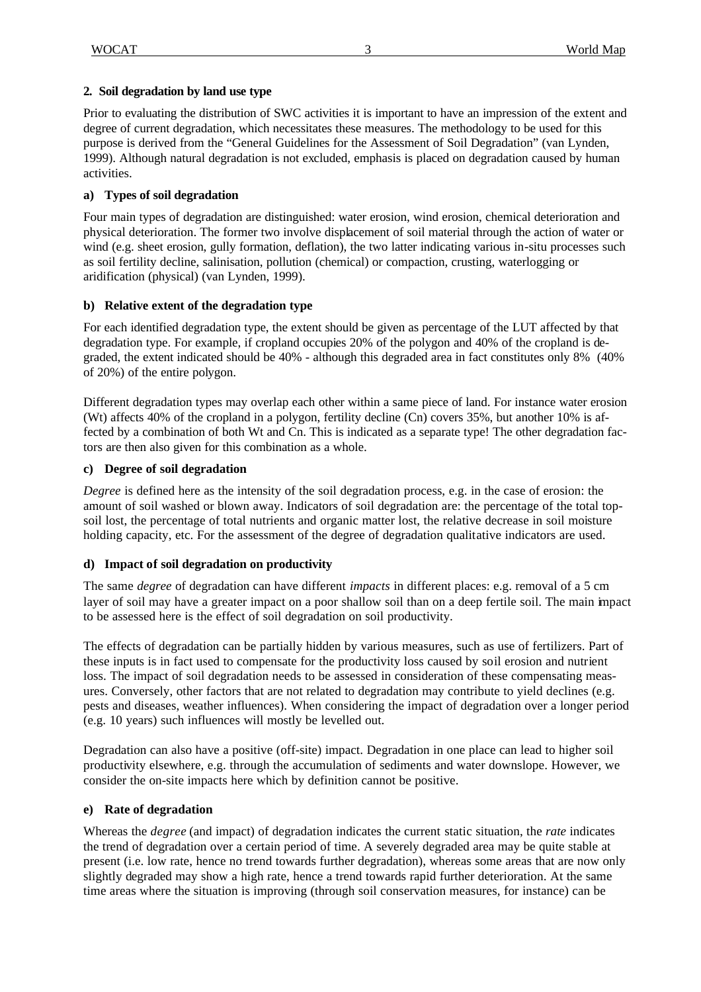### **2. Soil degradation by land use type**

Prior to evaluating the distribution of SWC activities it is important to have an impression of the extent and degree of current degradation, which necessitates these measures. The methodology to be used for this purpose is derived from the "General Guidelines for the Assessment of Soil Degradation" (van Lynden, 1999). Although natural degradation is not excluded, emphasis is placed on degradation caused by human activities.

### **a) Types of soil degradation**

Four main types of degradation are distinguished: water erosion, wind erosion, chemical deterioration and physical deterioration. The former two involve displacement of soil material through the action of water or wind (e.g. sheet erosion, gully formation, deflation), the two latter indicating various in-situ processes such as soil fertility decline, salinisation, pollution (chemical) or compaction, crusting, waterlogging or aridification (physical) (van Lynden, 1999).

### **b) Relative extent of the degradation type**

For each identified degradation type, the extent should be given as percentage of the LUT affected by that degradation type. For example, if cropland occupies 20% of the polygon and 40% of the cropland is degraded, the extent indicated should be 40% - although this degraded area in fact constitutes only 8% (40% of 20%) of the entire polygon.

Different degradation types may overlap each other within a same piece of land. For instance water erosion (Wt) affects 40% of the cropland in a polygon, fertility decline (Cn) covers 35%, but another 10% is affected by a combination of both Wt and Cn. This is indicated as a separate type! The other degradation factors are then also given for this combination as a whole.

### **c) Degree of soil degradation**

*Degree* is defined here as the intensity of the soil degradation process, e.g. in the case of erosion: the amount of soil washed or blown away. Indicators of soil degradation are: the percentage of the total topsoil lost, the percentage of total nutrients and organic matter lost, the relative decrease in soil moisture holding capacity, etc. For the assessment of the degree of degradation qualitative indicators are used.

# **d) Impact of soil degradation on productivity**

The same *degree* of degradation can have different *impacts* in different places: e.g. removal of a 5 cm layer of soil may have a greater impact on a poor shallow soil than on a deep fertile soil. The main impact to be assessed here is the effect of soil degradation on soil productivity.

The effects of degradation can be partially hidden by various measures, such as use of fertilizers. Part of these inputs is in fact used to compensate for the productivity loss caused by soil erosion and nutrient loss. The impact of soil degradation needs to be assessed in consideration of these compensating measures. Conversely, other factors that are not related to degradation may contribute to yield declines (e.g. pests and diseases, weather influences). When considering the impact of degradation over a longer period (e.g. 10 years) such influences will mostly be levelled out.

Degradation can also have a positive (off-site) impact. Degradation in one place can lead to higher soil productivity elsewhere, e.g. through the accumulation of sediments and water downslope. However, we consider the on-site impacts here which by definition cannot be positive.

#### **e) Rate of degradation**

Whereas the *degree* (and impact) of degradation indicates the current static situation, the *rate* indicates the trend of degradation over a certain period of time. A severely degraded area may be quite stable at present (i.e. low rate, hence no trend towards further degradation), whereas some areas that are now only slightly degraded may show a high rate, hence a trend towards rapid further deterioration. At the same time areas where the situation is improving (through soil conservation measures, for instance) can be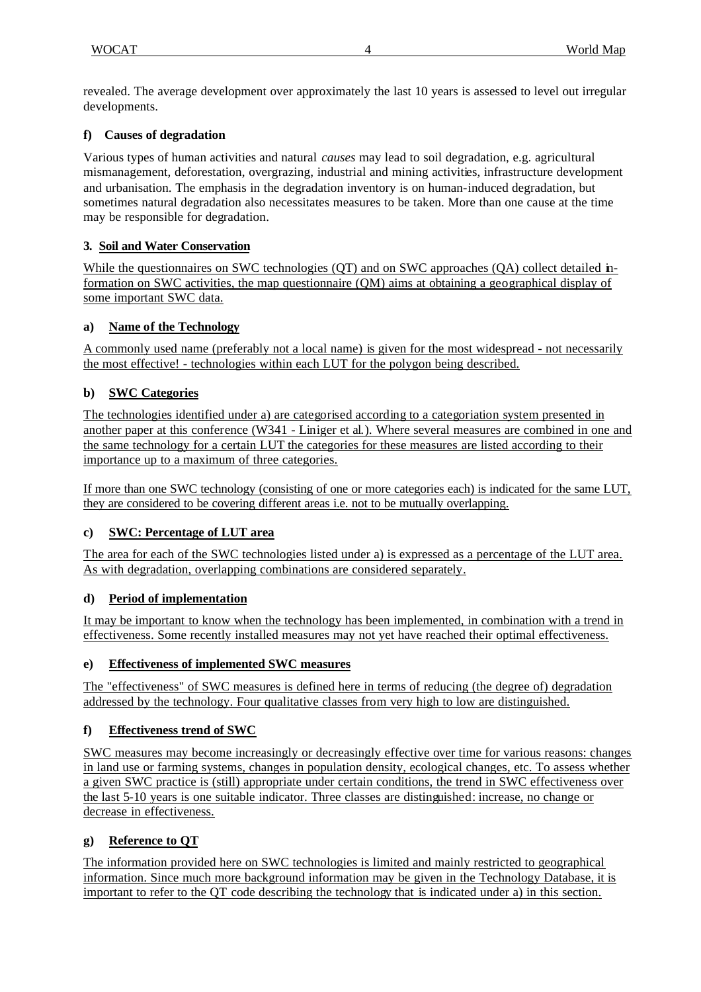revealed. The average development over approximately the last 10 years is assessed to level out irregular developments.

# **f) Causes of degradation**

Various types of human activities and natural *causes* may lead to soil degradation, e.g. agricultural mismanagement, deforestation, overgrazing, industrial and mining activities, infrastructure development and urbanisation. The emphasis in the degradation inventory is on human-induced degradation, but sometimes natural degradation also necessitates measures to be taken. More than one cause at the time may be responsible for degradation.

# **3. Soil and Water Conservation**

While the questionnaires on SWC technologies (OT) and on SWC approaches (OA) collect detailed information on SWC activities, the map questionnaire (QM) aims at obtaining a geographical display of some important SWC data.

# **a) Name of the Technology**

A commonly used name (preferably not a local name) is given for the most widespread - not necessarily the most effective! - technologies within each LUT for the polygon being described.

# **b) SWC Categories**

The technologies identified under a) are categorised according to a categoriation system presented in another paper at this conference (W341 - Liniger et al.). Where several measures are combined in one and the same technology for a certain LUT the categories for these measures are listed according to their importance up to a maximum of three categories.

If more than one SWC technology (consisting of one or more categories each) is indicated for the same LUT, they are considered to be covering different areas i.e. not to be mutually overlapping.

# **c) SWC: Percentage of LUT area**

The area for each of the SWC technologies listed under a) is expressed as a percentage of the LUT area. As with degradation, overlapping combinations are considered separately.

# **d) Period of implementation**

It may be important to know when the technology has been implemented, in combination with a trend in effectiveness. Some recently installed measures may not yet have reached their optimal effectiveness.

# **e) Effectiveness of implemented SWC measures**

The "effectiveness" of SWC measures is defined here in terms of reducing (the degree of) degradation addressed by the technology. Four qualitative classes from very high to low are distinguished.

# **f) Effectiveness trend of SWC**

SWC measures may become increasingly or decreasingly effective over time for various reasons: changes in land use or farming systems, changes in population density, ecological changes, etc. To assess whether a given SWC practice is (still) appropriate under certain conditions, the trend in SWC effectiveness over the last 5-10 years is one suitable indicator. Three classes are distinguished: increase, no change or decrease in effectiveness.

# **g) Reference to QT**

The information provided here on SWC technologies is limited and mainly restricted to geographical information. Since much more background information may be given in the Technology Database, it is important to refer to the QT code describing the technology that is indicated under a) in this section.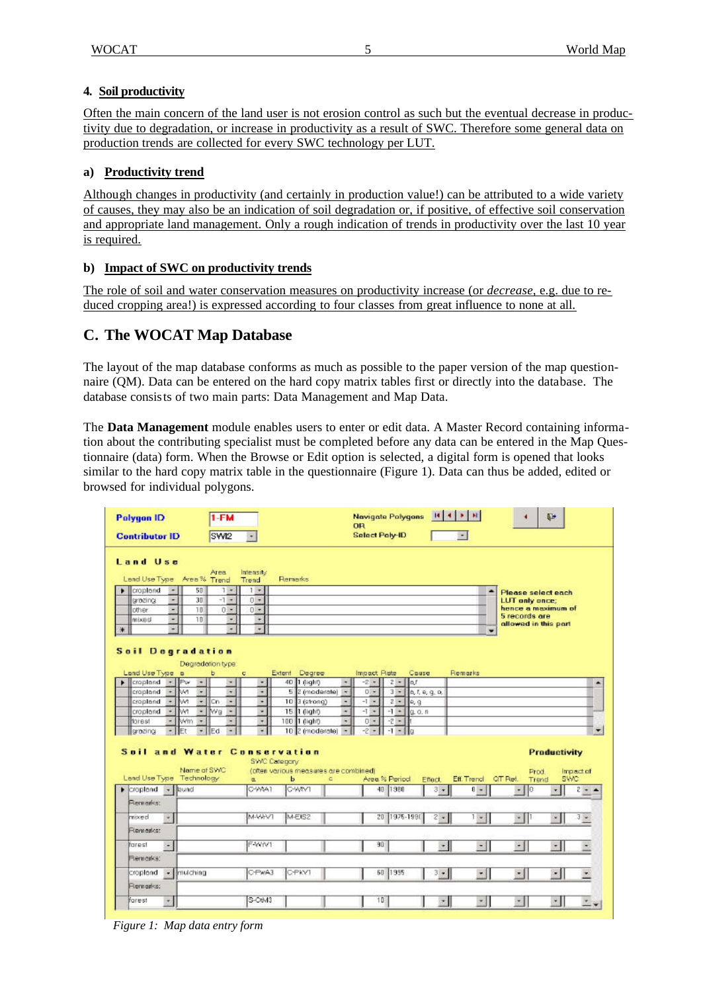### **4. Soil productivity**

Often the main concern of the land user is not erosion control as such but the eventual decrease in productivity due to degradation, or increase in productivity as a result of SWC. Therefore some general data on production trends are collected for every SWC technology per LUT.

### **a) Productivity trend**

Although changes in productivity (and certainly in production value!) can be attributed to a wide variety of causes, they may also be an indication of soil degradation or, if positive, of effective soil conservation and appropriate land management. Only a rough indication of trends in productivity over the last 10 year is required.

### **b) Impact of SWC on productivity trends**

The role of soil and water conservation measures on productivity increase (or *decrease*, e.g. due to reduced cropping area!) is expressed according to four classes from great influence to none at all.

# **C. The WOCAT Map Database**

The layout of the map database conforms as much as possible to the paper version of the map questionnaire (QM). Data can be entered on the hard copy matrix tables first or directly into the database. The database consists of two main parts: Data Management and Map Data.

The **Data Management** module enables users to enter or edit data. A Master Record containing information about the contributing specialist must be completed before any data can be entered in the Map Questionnaire (data) form. When the Browse or Edit option is selected, a digital form is opened that looks similar to the hard copy matrix table in the questionnaire (Figure 1). Data can thus be added, edited or browsed for individual polygons.

| OR<br><b>Select Poly-ID</b><br>SWI2<br><b>Contributor ID</b><br>$\overline{\phantom{a}}$<br>$\bullet$<br>Land Use<br>Intensity<br>Area<br>Land Use Type Area <sup>9</sup> % Trend<br>Remarks<br>Trend<br>50<br>croptond<br>$7 -$<br>$1 -$<br>٠<br>٠<br>×.<br>Please select each<br>30<br>$-1 -$<br>۰<br>$0 +$<br>grazing<br>LUT only once;<br>hence a maximum of<br>10<br>$0 -$<br>$0 +$<br>$\overline{\phantom{0}}$<br>other.<br>5 records are<br>10<br><b>MIXBO</b><br>٠<br>۰<br>٠<br>allowed in this part<br>Ţ<br>τ<br>٠<br>☀<br>۰<br><b>Soil Degradation</b><br>Degradation type:<br>Land Use Type is<br>Extent Degree<br>Impact Riste<br>Couse<br>Remarks<br>ь<br>ç.<br>$ Pw$<br>$2  n$<br>$\blacktriangleright$ eropland<br>40 1 (light)<br>$-2 -$<br>$\overline{a}$<br>$\cdot$<br>۰<br>×. |                          |
|--------------------------------------------------------------------------------------------------------------------------------------------------------------------------------------------------------------------------------------------------------------------------------------------------------------------------------------------------------------------------------------------------------------------------------------------------------------------------------------------------------------------------------------------------------------------------------------------------------------------------------------------------------------------------------------------------------------------------------------------------------------------------------------------------|--------------------------|
|                                                                                                                                                                                                                                                                                                                                                                                                                                                                                                                                                                                                                                                                                                                                                                                                  |                          |
|                                                                                                                                                                                                                                                                                                                                                                                                                                                                                                                                                                                                                                                                                                                                                                                                  |                          |
|                                                                                                                                                                                                                                                                                                                                                                                                                                                                                                                                                                                                                                                                                                                                                                                                  |                          |
|                                                                                                                                                                                                                                                                                                                                                                                                                                                                                                                                                                                                                                                                                                                                                                                                  |                          |
|                                                                                                                                                                                                                                                                                                                                                                                                                                                                                                                                                                                                                                                                                                                                                                                                  | ×                        |
| croplend<br>M<br>5<br>[etate] S<br>$0 -$<br>٠<br>$\overline{\phantom{a}}$<br>$3 -$<br>a, f, a, q, a,<br>$\bullet$<br>٠<br>×                                                                                                                                                                                                                                                                                                                                                                                                                                                                                                                                                                                                                                                                      |                          |
| ÷<br>M<br>$=$ $ $ Cn<br>$10$ $3$ (strong)<br>$-1 =$<br>$2 -$<br>croplend<br>$\cdot$<br>e, q<br>$\overline{\phantom{a}}$<br>۰                                                                                                                                                                                                                                                                                                                                                                                                                                                                                                                                                                                                                                                                     |                          |
| M<br>lwa<br>÷.<br>15 1 dight)<br>$-1 -$<br>$-1 -$<br>croplend<br>$\overline{\phantom{a}}$<br>۰<br>Q, Q, R<br>۰<br>۰                                                                                                                                                                                                                                                                                                                                                                                                                                                                                                                                                                                                                                                                              |                          |
| $\overline{\phantom{a}}$<br>$\cdot$<br>$-2 -$<br>Wm<br>100 1 dight<br>$0 -$<br>forest<br>$\overline{ }$<br>٠<br>۰<br>$\overline{\phantom{a}}$<br>10 2 (moderate)<br>IF <sub>t</sub><br>$-$ I Ed<br>$-1$<br>$-2 -$<br>$-1 -   a$<br>grazing<br>$\bullet$<br>۰                                                                                                                                                                                                                                                                                                                                                                                                                                                                                                                                     | $\overline{\phantom{a}}$ |
| <b>Soil and Water Conservation</b><br>Productivity<br>SWC Category<br>Name of SWC<br>(often various measures are combined)<br>Prod.<br>Land Use Type Technology<br><b>SV/C</b><br>Area % Period<br>Eff. Trend<br>QT Put.<br>ь<br>a.<br>Effect.<br>ä.<br>Trend                                                                                                                                                                                                                                                                                                                                                                                                                                                                                                                                    | Impact of                |
| OWNT<br>C-WtA1<br>40<br>1380<br>$3 - 1$<br>$\overline{0}$ +<br>ю<br>$\blacktriangleright$ croplend<br>$-$ lound<br>$\star$<br>$\mathbf{r}$                                                                                                                                                                                                                                                                                                                                                                                                                                                                                                                                                                                                                                                       | $2 -$                    |
| Remarks:                                                                                                                                                                                                                                                                                                                                                                                                                                                                                                                                                                                                                                                                                                                                                                                         |                          |
| MAVIVT<br>M-Et52<br>1976-1991<br>20<br>$2 - 1$<br>mixed<br>$1 + 1$<br>v.<br>$\mathcal{F}_{\mathcal{A}}$<br>$\sim$                                                                                                                                                                                                                                                                                                                                                                                                                                                                                                                                                                                                                                                                                | $J =$                    |
| Remarks:                                                                                                                                                                                                                                                                                                                                                                                                                                                                                                                                                                                                                                                                                                                                                                                         |                          |
| F-WIV1<br>90<br>farest<br>$\bullet$<br>$\cdot$<br>$\cdot$<br>$\cdot$  <br>$\cdot$<br>Remarks:                                                                                                                                                                                                                                                                                                                                                                                                                                                                                                                                                                                                                                                                                                    |                          |
| 1995<br>mulching<br>C-PwA3<br>C-PKV1<br>50<br>$3 -$<br>$\mathbf{r}$<br>$\cdot$<br>$\cdot$  <br>croplend<br>- 1                                                                                                                                                                                                                                                                                                                                                                                                                                                                                                                                                                                                                                                                                   |                          |
| Remarks:<br>S-O643<br>10<br>farest<br>×<br>췍<br>×<br>$\mathbf{x}_i$<br>×                                                                                                                                                                                                                                                                                                                                                                                                                                                                                                                                                                                                                                                                                                                         |                          |

*Figure 1: Map data entry form*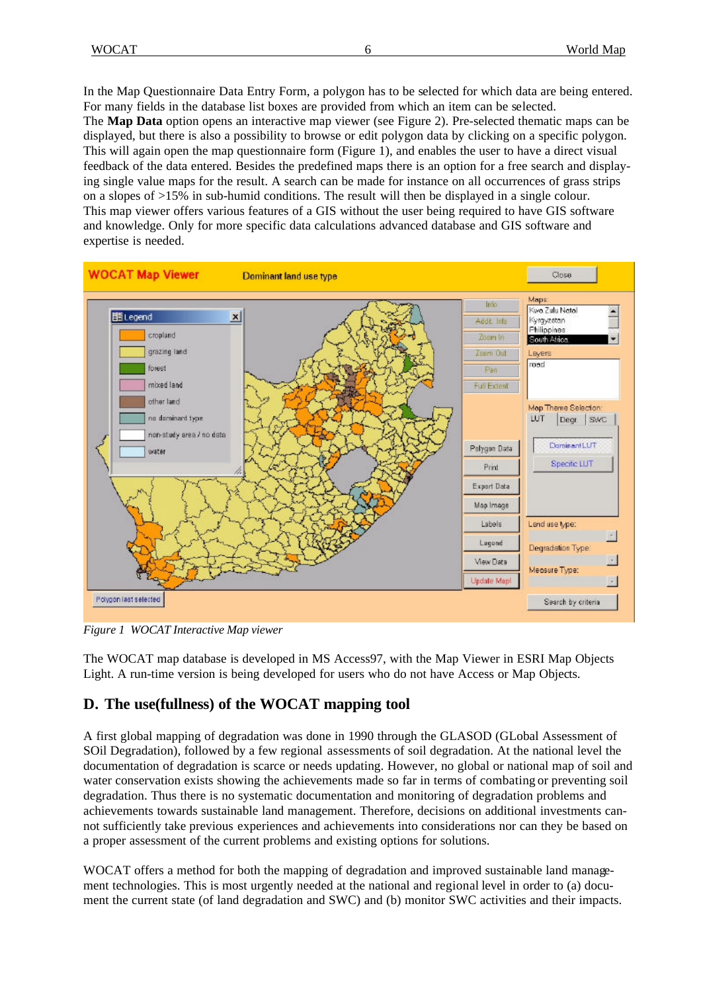In the Map Questionnaire Data Entry Form, a polygon has to be selected for which data are being entered. For many fields in the database list boxes are provided from which an item can be selected. The **Map Data** option opens an interactive map viewer (see Figure 2). Pre-selected thematic maps can be displayed, but there is also a possibility to browse or edit polygon data by clicking on a specific polygon. This will again open the map questionnaire form (Figure 1), and enables the user to have a direct visual feedback of the data entered. Besides the predefined maps there is an option for a free search and displaying single value maps for the result. A search can be made for instance on all occurrences of grass strips on a slopes of >15% in sub-humid conditions. The result will then be displayed in a single colour. This map viewer offers various features of a GIS without the user being required to have GIS software and knowledge. Only for more specific data calculations advanced database and GIS software and expertise is needed.



*Figure 1 WOCAT Interactive Map viewer*

The WOCAT map database is developed in MS Access97, with the Map Viewer in ESRI Map Objects Light. A run-time version is being developed for users who do not have Access or Map Objects.

# **D. The use(fullness) of the WOCAT mapping tool**

A first global mapping of degradation was done in 1990 through the GLASOD (GLobal Assessment of SOil Degradation), followed by a few regional assessments of soil degradation. At the national level the documentation of degradation is scarce or needs updating. However, no global or national map of soil and water conservation exists showing the achievements made so far in terms of combating or preventing soil degradation. Thus there is no systematic documentation and monitoring of degradation problems and achievements towards sustainable land management. Therefore, decisions on additional investments cannot sufficiently take previous experiences and achievements into considerations nor can they be based on a proper assessment of the current problems and existing options for solutions.

WOCAT offers a method for both the mapping of degradation and improved sustainable land management technologies. This is most urgently needed at the national and regional level in order to (a) document the current state (of land degradation and SWC) and (b) monitor SWC activities and their impacts.